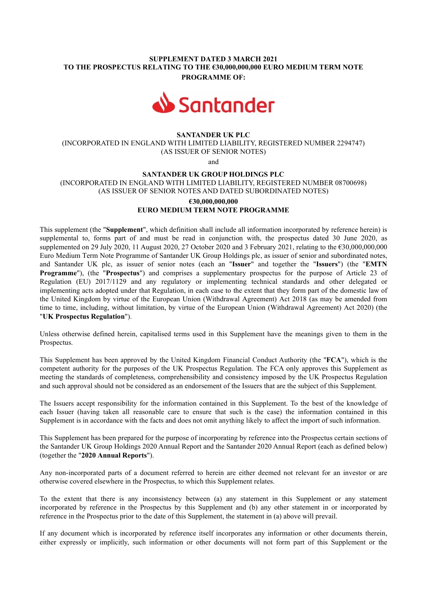## SUPPLEMENT DATED 3 MARCH 2021 TO THE PROSPECTUS RELATING TO THE €30,000,000,000 EURO MEDIUM TERM NOTE PROGRAMME OF:



### SANTANDER UK PLC

(INCORPORATED IN ENGLAND WITH LIMITED LIABILITY, REGISTERED NUMBER 2294747) (AS ISSUER OF SENIOR NOTES)

and

#### SANTANDER UK GROUP HOLDINGS PLC

(INCORPORATED IN ENGLAND WITH LIMITED LIABILITY, REGISTERED NUMBER 08700698) (AS ISSUER OF SENIOR NOTES AND DATED SUBORDINATED NOTES)

# €30,000,000,000 EURO MEDIUM TERM NOTE PROGRAMME

This supplement (the "Supplement", which definition shall include all information incorporated by reference herein) is supplemental to, forms part of and must be read in conjunction with, the prospectus dated 30 June 2020, as supplemented on 29 July 2020, 11 August 2020, 27 October 2020 and 3 February 2021, relating to the €30,000,000,000 Euro Medium Term Note Programme of Santander UK Group Holdings plc, as issuer of senior and subordinated notes, and Santander UK plc, as issuer of senior notes (each an "Issuer" and together the "Issuers") (the "EMTN Programme"), (the "Prospectus") and comprises a supplementary prospectus for the purpose of Article 23 of Regulation (EU) 2017/1129 and any regulatory or implementing technical standards and other delegated or implementing acts adopted under that Regulation, in each case to the extent that they form part of the domestic law of the United Kingdom by virtue of the European Union (Withdrawal Agreement) Act 2018 (as may be amended from time to time, including, without limitation, by virtue of the European Union (Withdrawal Agreement) Act 2020) (the "UK Prospectus Regulation").

Unless otherwise defined herein, capitalised terms used in this Supplement have the meanings given to them in the Prospectus.

This Supplement has been approved by the United Kingdom Financial Conduct Authority (the "FCA"), which is the competent authority for the purposes of the UK Prospectus Regulation. The FCA only approves this Supplement as meeting the standards of completeness, comprehensibility and consistency imposed by the UK Prospectus Regulation and such approval should not be considered as an endorsement of the Issuers that are the subject of this Supplement.

The Issuers accept responsibility for the information contained in this Supplement. To the best of the knowledge of each Issuer (having taken all reasonable care to ensure that such is the case) the information contained in this Supplement is in accordance with the facts and does not omit anything likely to affect the import of such information.

This Supplement has been prepared for the purpose of incorporating by reference into the Prospectus certain sections of the Santander UK Group Holdings 2020 Annual Report and the Santander 2020 Annual Report (each as defined below) (together the "2020 Annual Reports").

Any non-incorporated parts of a document referred to herein are either deemed not relevant for an investor or are otherwise covered elsewhere in the Prospectus, to which this Supplement relates.

To the extent that there is any inconsistency between (a) any statement in this Supplement or any statement incorporated by reference in the Prospectus by this Supplement and (b) any other statement in or incorporated by reference in the Prospectus prior to the date of this Supplement, the statement in (a) above will prevail.

If any document which is incorporated by reference itself incorporates any information or other documents therein, either expressly or implicitly, such information or other documents will not form part of this Supplement or the